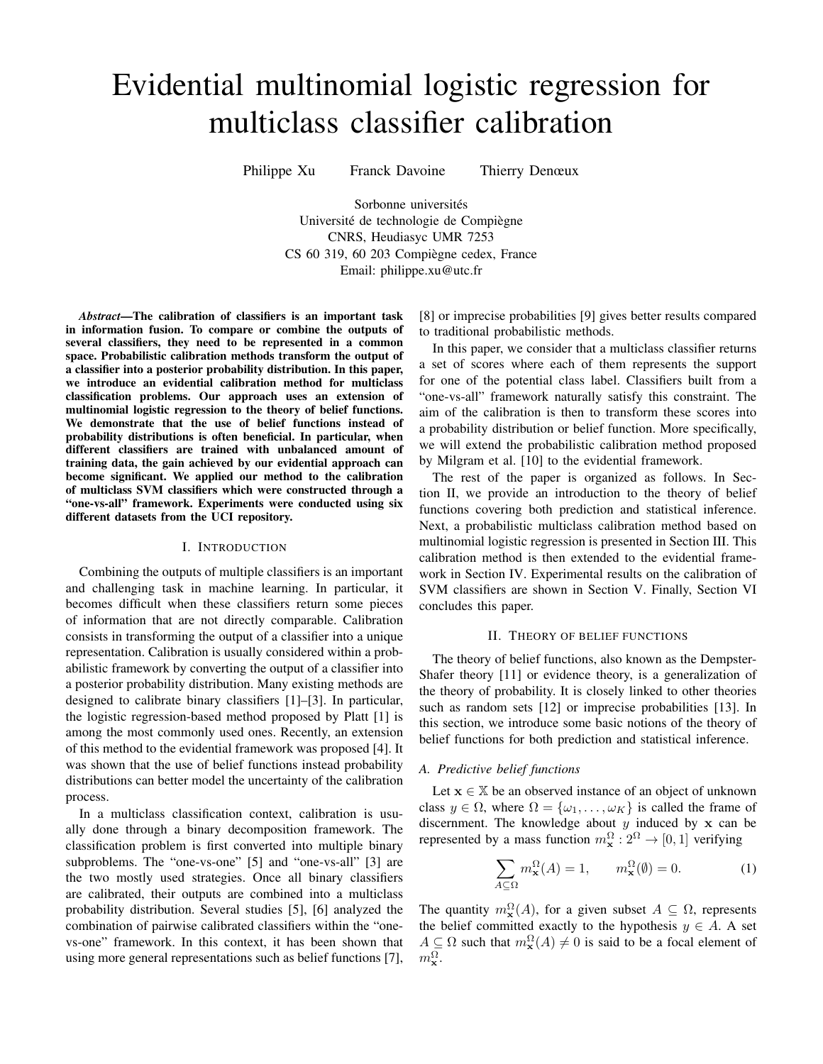# Evidential multinomial logistic regression for multiclass classifier calibration

Philippe Xu Franck Davoine Thierry Denœux

Sorbonne universités Université de technologie de Compiègne CNRS, Heudiasyc UMR 7253 CS 60 319, 60 203 Compiegne cedex, France ` Email: philippe.xu@utc.fr

*Abstract*—The calibration of classifiers is an important task in information fusion. To compare or combine the outputs of several classifiers, they need to be represented in a common space. Probabilistic calibration methods transform the output of a classifier into a posterior probability distribution. In this paper, we introduce an evidential calibration method for multiclass classification problems. Our approach uses an extension of multinomial logistic regression to the theory of belief functions. We demonstrate that the use of belief functions instead of probability distributions is often beneficial. In particular, when different classifiers are trained with unbalanced amount of training data, the gain achieved by our evidential approach can become significant. We applied our method to the calibration of multiclass SVM classifiers which were constructed through a "one-vs-all" framework. Experiments were conducted using six different datasets from the UCI repository.

# I. INTRODUCTION

Combining the outputs of multiple classifiers is an important and challenging task in machine learning. In particular, it becomes difficult when these classifiers return some pieces of information that are not directly comparable. Calibration consists in transforming the output of a classifier into a unique representation. Calibration is usually considered within a probabilistic framework by converting the output of a classifier into a posterior probability distribution. Many existing methods are designed to calibrate binary classifiers [1]–[3]. In particular, the logistic regression-based method proposed by Platt [1] is among the most commonly used ones. Recently, an extension of this method to the evidential framework was proposed [4]. It was shown that the use of belief functions instead probability distributions can better model the uncertainty of the calibration process.

In a multiclass classification context, calibration is usually done through a binary decomposition framework. The classification problem is first converted into multiple binary subproblems. The "one-vs-one" [5] and "one-vs-all" [3] are the two mostly used strategies. Once all binary classifiers are calibrated, their outputs are combined into a multiclass probability distribution. Several studies [5], [6] analyzed the combination of pairwise calibrated classifiers within the "onevs-one" framework. In this context, it has been shown that using more general representations such as belief functions [7], [8] or imprecise probabilities [9] gives better results compared to traditional probabilistic methods.

In this paper, we consider that a multiclass classifier returns a set of scores where each of them represents the support for one of the potential class label. Classifiers built from a "one-vs-all" framework naturally satisfy this constraint. The aim of the calibration is then to transform these scores into a probability distribution or belief function. More specifically, we will extend the probabilistic calibration method proposed by Milgram et al. [10] to the evidential framework.

The rest of the paper is organized as follows. In Section II, we provide an introduction to the theory of belief functions covering both prediction and statistical inference. Next, a probabilistic multiclass calibration method based on multinomial logistic regression is presented in Section III. This calibration method is then extended to the evidential framework in Section IV. Experimental results on the calibration of SVM classifiers are shown in Section V. Finally, Section VI concludes this paper.

## II. THEORY OF BELIEF FUNCTIONS

The theory of belief functions, also known as the Dempster-Shafer theory [11] or evidence theory, is a generalization of the theory of probability. It is closely linked to other theories such as random sets [12] or imprecise probabilities [13]. In this section, we introduce some basic notions of the theory of belief functions for both prediction and statistical inference.

## *A. Predictive belief functions*

Let  $x \in \mathbb{X}$  be an observed instance of an object of unknown class  $y \in \Omega$ , where  $\Omega = {\omega_1, \dots, \omega_K}$  is called the frame of discernment. The knowledge about  $y$  induced by  $x$  can be represented by a mass function  $m_x^{\Omega}: 2^{\Omega} \to [0,1]$  verifying

$$
\sum_{A \subseteq \Omega} m_{\mathbf{x}}^{\Omega}(A) = 1, \qquad m_{\mathbf{x}}^{\Omega}(\emptyset) = 0.
$$
 (1)

The quantity  $m_x^{\Omega}(A)$ , for a given subset  $A \subseteq \Omega$ , represents the belief committed exactly to the hypothesis  $y \in A$ . A set  $A \subseteq \Omega$  such that  $m_x^{\Omega}(A) \neq 0$  is said to be a focal element of  $m_{\mathbf{x}}^{\Omega}$ .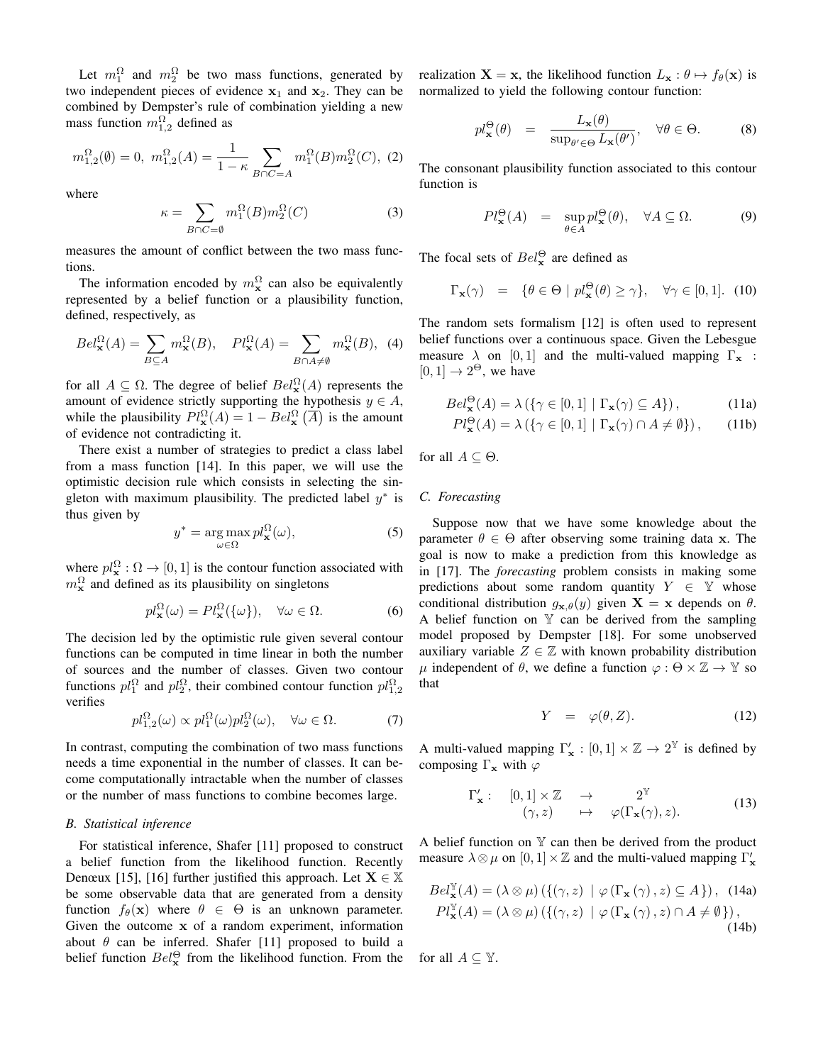Let  $m_1^{\Omega}$  and  $m_2^{\Omega}$  be two mass functions, generated by two independent pieces of evidence  $x_1$  and  $x_2$ . They can be combined by Dempster's rule of combination yielding a new mass function  $m_{1,2}^{\Omega}$  defined as

$$
m_{1,2}^{\Omega}(\emptyset) = 0, \ m_{1,2}^{\Omega}(A) = \frac{1}{1 - \kappa} \sum_{B \cap C = A} m_1^{\Omega}(B) m_2^{\Omega}(C), \ (2)
$$

where

$$
\kappa = \sum_{B \cap C = \emptyset} m_1^{\Omega}(B) m_2^{\Omega}(C) \tag{3}
$$

measures the amount of conflict between the two mass functions.

The information encoded by  $m_x^{\Omega}$  can also be equivalently represented by a belief function or a plausibility function, defined, respectively, as

$$
Bel_{\mathbf{x}}^{\Omega}(A) = \sum_{B \subseteq A} m_{\mathbf{x}}^{\Omega}(B), \quad Pl_{\mathbf{x}}^{\Omega}(A) = \sum_{B \cap A \neq \emptyset} m_{\mathbf{x}}^{\Omega}(B), \tag{4}
$$

for all  $A \subseteq \Omega$ . The degree of belief  $Bel_{\mathbf{x}}^{\Omega}(A)$  represents the amount of evidence strictly supporting the hypothesis  $y \in A$ , while the plausibility  $Pl_{\mathbf{x}}^{\Omega}(A) = 1 - Bel_{\mathbf{x}}^{\Omega}(\overline{A})$  is the amount of evidence not contradicting it.

There exist a number of strategies to predict a class label from a mass function [14]. In this paper, we will use the optimistic decision rule which consists in selecting the singleton with maximum plausibility. The predicted label  $y^*$  is thus given by

$$
y^* = \underset{\omega \in \Omega}{\arg \max} \, p l_\mathbf{x}^{\Omega}(\omega),\tag{5}
$$

where  $pl_{\mathbf{x}}^{\Omega}: \Omega \to [0, 1]$  is the contour function associated with  $m_{\mathbf{x}}^{\Omega}$  and defined as its plausibility on singletons

$$
pl_{\mathbf{x}}^{\Omega}(\omega) = Pl_{\mathbf{x}}^{\Omega}(\{\omega\}), \quad \forall \omega \in \Omega.
$$
 (6)

The decision led by the optimistic rule given several contour functions can be computed in time linear in both the number of sources and the number of classes. Given two contour functions  $pl_1^{\Omega}$  and  $pl_2^{\Omega}$ , their combined contour function  $pl_{1,2}^{\Omega}$ verifies

$$
pl_{1,2}^{\Omega}(\omega) \propto pl_1^{\Omega}(\omega)pl_2^{\Omega}(\omega), \quad \forall \omega \in \Omega.
$$
 (7)

In contrast, computing the combination of two mass functions needs a time exponential in the number of classes. It can become computationally intractable when the number of classes or the number of mass functions to combine becomes large.

## *B. Statistical inference*

For statistical inference, Shafer [11] proposed to construct a belief function from the likelihood function. Recently Denœux [15], [16] further justified this approach. Let  $X \in \mathbb{X}$ be some observable data that are generated from a density function  $f_{\theta}(\mathbf{x})$  where  $\theta \in \Theta$  is an unknown parameter. Given the outcome x of a random experiment, information about  $\theta$  can be inferred. Shafer [11] proposed to build a belief function  $Bel_{\mathbf{x}}^{\Theta}$  from the likelihood function. From the realization  $X = x$ , the likelihood function  $L_x : \theta \mapsto f_\theta(x)$  is normalized to yield the following contour function:

$$
pl_{\mathbf{x}}^{\Theta}(\theta) = \frac{L_{\mathbf{x}}(\theta)}{\sup_{\theta' \in \Theta} L_{\mathbf{x}}(\theta')} , \quad \forall \theta \in \Theta.
$$
 (8)

The consonant plausibility function associated to this contour function is

$$
Pl_{\mathbf{x}}^{\Theta}(A) = \sup_{\theta \in A} pl_{\mathbf{x}}^{\Theta}(\theta), \quad \forall A \subseteq \Omega.
$$
 (9)

The focal sets of  $Bel_{\mathbf{x}}^{\Theta}$  are defined as

$$
\Gamma_{\mathbf{x}}(\gamma) = \{ \theta \in \Theta \mid pl_{\mathbf{x}}^{\Theta}(\theta) \ge \gamma \}, \quad \forall \gamma \in [0, 1]. \tag{10}
$$

The random sets formalism [12] is often used to represent belief functions over a continuous space. Given the Lebesgue measure  $\lambda$  on [0, 1] and the multi-valued mapping  $\Gamma_{\mathbf{x}}$  :  $[0, 1] \rightarrow 2^{\Theta}$ , we have

$$
Bel_{\mathbf{x}}^{\Theta}(A) = \lambda \left( \{ \gamma \in [0, 1] \mid \Gamma_{\mathbf{x}}(\gamma) \subseteq A \} \right), \tag{11a}
$$

$$
Pl_{\mathbf{x}}^{\Theta}(A) = \lambda \left( \{ \gamma \in [0, 1] \mid \Gamma_{\mathbf{x}}(\gamma) \cap A \neq \emptyset \} \right), \qquad (11b)
$$

for all  $A \subseteq \Theta$ .

## *C. Forecasting*

Suppose now that we have some knowledge about the parameter  $\theta \in \Theta$  after observing some training data x. The goal is now to make a prediction from this knowledge as in [17]. The *forecasting* problem consists in making some predictions about some random quantity  $Y \in \mathbb{Y}$  whose conditional distribution  $g_{\mathbf{x},\theta}(y)$  given  $\mathbf{X} = \mathbf{x}$  depends on  $\theta$ . A belief function on  $Y$  can be derived from the sampling model proposed by Dempster [18]. For some unobserved auxiliary variable  $Z \in \mathbb{Z}$  with known probability distribution  $μ$  independent of  $θ$ , we define a function  $φ : Θ × ℤ → Y$  so that

$$
Y = \varphi(\theta, Z). \tag{12}
$$

A multi-valued mapping  $\Gamma'_\mathbf{x} : [0,1] \times \mathbb{Z} \to 2^{\mathbb{Y}}$  is defined by composing  $\Gamma_{\mathbf{x}}$  with  $\varphi$ 

$$
\Gamma'_{\mathbf{x}}: \begin{array}{ccc} [0,1] \times \mathbb{Z} & \to & 2^{\mathbb{Y}} \\ (\gamma, z) & \mapsto & \varphi(\Gamma_{\mathbf{x}}(\gamma), z). \end{array} \tag{13}
$$

A belief function on  $Y$  can then be derived from the product measure  $\lambda \otimes \mu$  on  $[0, 1] \times \mathbb{Z}$  and the multi-valued mapping  $\Gamma'_{\mathbf{x}}$ 

$$
Bel_{\mathbf{x}}^{\mathbb{Y}}(A) = (\lambda \otimes \mu) \left( \{ (\gamma, z) \mid \varphi \left( \Gamma_{\mathbf{x}} \left( \gamma \right), z \right) \subseteq A \} \right), \quad (14a)
$$
  
\n
$$
Pl_{\mathbf{x}}^{\mathbb{Y}}(A) = (\lambda \otimes \mu) \left( \{ (\gamma, z) \mid \varphi \left( \Gamma_{\mathbf{x}} \left( \gamma \right), z \right) \cap A \neq \emptyset \} \right), \quad (14b)
$$

for all  $A \subseteq \mathbb{Y}$ .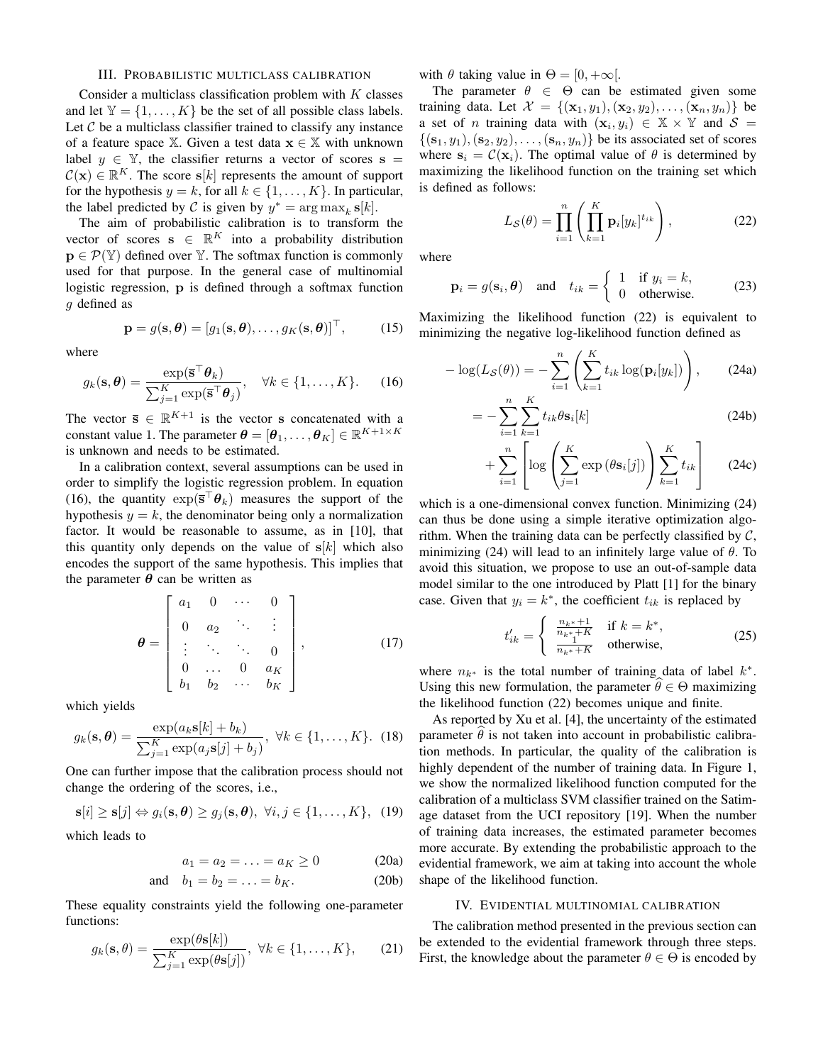# III. PROBABILISTIC MULTICLASS CALIBRATION

Consider a multiclass classification problem with  $K$  classes and let  $Y = \{1, ..., K\}$  be the set of all possible class labels. Let  $\mathcal C$  be a multiclass classifier trained to classify any instance of a feature space X. Given a test data  $x \in X$  with unknown label  $y \in \mathbb{Y}$ , the classifier returns a vector of scores  $s =$  $\mathcal{C}(\mathbf{x}) \in \mathbb{R}^K$ . The score  $s[k]$  represents the amount of support for the hypothesis  $y = k$ , for all  $k \in \{1, ..., K\}$ . In particular, the label predicted by C is given by  $y^* = \arg \max_k \mathbf{s}[k]$ .

The aim of probabilistic calibration is to transform the vector of scores  $\mathbf{s} \in \mathbb{R}^K$  into a probability distribution  $\mathbf{p} \in \mathcal{P}(\mathbb{Y})$  defined over Y. The softmax function is commonly used for that purpose. In the general case of multinomial logistic regression, p is defined through a softmax function g defined as

$$
\mathbf{p} = g(\mathbf{s}, \boldsymbol{\theta}) = [g_1(\mathbf{s}, \boldsymbol{\theta}), \dots, g_K(\mathbf{s}, \boldsymbol{\theta})]^\top, \qquad (15)
$$

where

$$
g_k(\mathbf{s}, \boldsymbol{\theta}) = \frac{\exp(\bar{\mathbf{s}}^\top \boldsymbol{\theta}_k)}{\sum_{j=1}^K \exp(\bar{\mathbf{s}}^\top \boldsymbol{\theta}_j)}, \quad \forall k \in \{1, \dots, K\}.
$$
 (16)

The vector  $\overline{s} \in \mathbb{R}^{K+1}$  is the vector s concatenated with a constant value 1. The parameter  $\boldsymbol{\theta} = [\boldsymbol{\theta}_1, \dots, \boldsymbol{\theta}_K] \in \mathbb{R}^{K+1 \times K}$ is unknown and needs to be estimated.

In a calibration context, several assumptions can be used in order to simplify the logistic regression problem. In equation (16), the quantity  $\exp(\bar{s}^\top \theta_k)$  measures the support of the hypothesis  $y = k$ , the denominator being only a normalization factor. It would be reasonable to assume, as in [10], that this quantity only depends on the value of  $s[k]$  which also encodes the support of the same hypothesis. This implies that the parameter  $\theta$  can be written as

$$
\boldsymbol{\theta} = \begin{bmatrix} a_1 & 0 & \cdots & 0 \\ 0 & a_2 & \ddots & \vdots \\ \vdots & \ddots & \ddots & 0 \\ 0 & \cdots & 0 & a_K \\ b_1 & b_2 & \cdots & b_K \end{bmatrix},
$$
(17)

which yields

$$
g_k(\mathbf{s}, \boldsymbol{\theta}) = \frac{\exp(a_k \mathbf{s}[k] + b_k)}{\sum_{j=1}^K \exp(a_j \mathbf{s}[j] + b_j)}, \ \forall k \in \{1, ..., K\}.
$$
 (18)

One can further impose that the calibration process should not change the ordering of the scores, i.e.,

$$
\mathbf{s}[i] \geq \mathbf{s}[j] \Leftrightarrow g_i(\mathbf{s}, \boldsymbol{\theta}) \geq g_j(\mathbf{s}, \boldsymbol{\theta}), \ \forall i, j \in \{1, \dots, K\}, \ \ (19)
$$

which leads to

$$
a_1 = a_2 = \ldots = a_K \ge 0 \tag{20a}
$$

and 
$$
b_1 = b_2 = \ldots = b_K
$$
. (20b)

These equality constraints yield the following one-parameter functions:

$$
g_k(\mathbf{s}, \theta) = \frac{\exp(\theta \mathbf{s}[k])}{\sum_{j=1}^K \exp(\theta \mathbf{s}[j])}, \ \forall k \in \{1, \dots, K\}, \qquad (21)
$$

with  $\theta$  taking value in  $\Theta = [0, +\infty[$ .

The parameter  $\theta \in \Theta$  can be estimated given some training data. Let  $\mathcal{X} = \{(\mathbf{x}_1, y_1), (\mathbf{x}_2, y_2), \dots, (\mathbf{x}_n, y_n)\}\$  be a set of *n* training data with  $(x_i, y_i) \in \mathbb{X} \times \mathbb{Y}$  and  $S =$  $\{(\mathbf{s}_1, y_1),(\mathbf{s}_2, y_2), \ldots, (\mathbf{s}_n, y_n)\}\$ be its associated set of scores where  $s_i = C(\mathbf{x}_i)$ . The optimal value of  $\theta$  is determined by maximizing the likelihood function on the training set which is defined as follows:

$$
L_{\mathcal{S}}(\theta) = \prod_{i=1}^{n} \left( \prod_{k=1}^{K} \mathbf{p}_{i} [y_{k}]^{t_{ik}} \right), \qquad (22)
$$

where

$$
\mathbf{p}_i = g(\mathbf{s}_i, \boldsymbol{\theta}) \quad \text{and} \quad t_{ik} = \begin{cases} 1 & \text{if } y_i = k, \\ 0 & \text{otherwise.} \end{cases} \tag{23}
$$

Maximizing the likelihood function (22) is equivalent to minimizing the negative log-likelihood function defined as

$$
-\log(L_{\mathcal{S}}(\theta)) = -\sum_{i=1}^{n} \left( \sum_{k=1}^{K} t_{ik} \log(\mathbf{p}_{i}[y_{k}]) \right), \qquad (24a)
$$

$$
= -\sum_{i=1}^{n} \sum_{k=1}^{K} t_{ik} \theta \mathbf{s}_i[k]
$$
 (24b)

$$
+\sum_{i=1}^{n}\left[\log\left(\sum_{j=1}^{K}\exp\left(\theta\mathbf{s}_{i}[j]\right)\right)\sum_{k=1}^{K}t_{ik}\right]
$$
 (24c)

which is a one-dimensional convex function. Minimizing (24) can thus be done using a simple iterative optimization algorithm. When the training data can be perfectly classified by  $C$ , minimizing (24) will lead to an infinitely large value of  $\theta$ . To avoid this situation, we propose to use an out-of-sample data model similar to the one introduced by Platt [1] for the binary case. Given that  $y_i = k^*$ , the coefficient  $t_{ik}$  is replaced by

$$
t'_{ik} = \begin{cases} \frac{n_{k^*} + 1}{n_{k^*} + K} & \text{if } k = k^*,\\ \frac{1}{n_{k^*} + K} & \text{otherwise,} \end{cases}
$$
 (25)

where  $n_{k^*}$  is the total number of training data of label  $k^*$ . Using this new formulation, the parameter  $\theta \in \Theta$  maximizing the likelihood function (22) becomes unique and finite.

As reported by Xu et al. [4], the uncertainty of the estimated parameter  $\theta$  is not taken into account in probabilistic calibration methods. In particular, the quality of the calibration is highly dependent of the number of training data. In Figure 1, we show the normalized likelihood function computed for the calibration of a multiclass SVM classifier trained on the Satimage dataset from the UCI repository [19]. When the number of training data increases, the estimated parameter becomes more accurate. By extending the probabilistic approach to the evidential framework, we aim at taking into account the whole shape of the likelihood function.

## IV. EVIDENTIAL MULTINOMIAL CALIBRATION

The calibration method presented in the previous section can be extended to the evidential framework through three steps. First, the knowledge about the parameter  $\theta \in \Theta$  is encoded by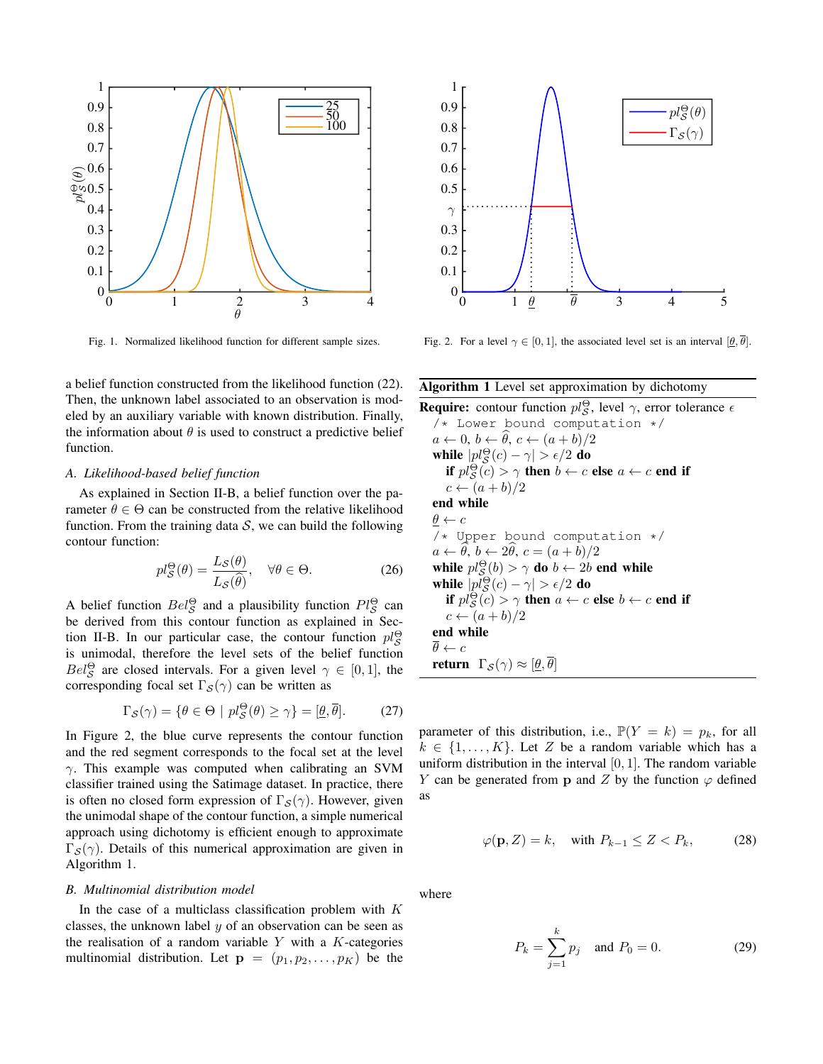

Fig. 1. Normalized likelihood function for different sample sizes.

a belief function constructed from the likelihood function (22). Then, the unknown label associated to an observation is modeled by an auxiliary variable with known distribution. Finally, the information about  $\theta$  is used to construct a predictive belief function.

# *A. Likelihood-based belief function*

As explained in Section II-B, a belief function over the parameter  $\theta \in \Theta$  can be constructed from the relative likelihood function. From the training data  $S$ , we can build the following contour function:

$$
pl_{\mathcal{S}}^{\Theta}(\theta) = \frac{L_{\mathcal{S}}(\theta)}{L_{\mathcal{S}}(\hat{\theta})}, \quad \forall \theta \in \Theta.
$$
 (26)

A belief function  $Bel^{\Theta}_{\mathcal{S}}$  and a plausibility function  $Pl^{\Theta}_{\mathcal{S}}$  can be derived from this contour function as explained in Section II-B. In our particular case, the contour function  $pl_S^{\Theta}$ is unimodal, therefore the level sets of the belief function  $Bel^{\Theta}_{\mathcal{S}}$  are closed intervals. For a given level  $\gamma \in [0,1]$ , the corresponding focal set  $\Gamma_{\mathcal{S}}(\gamma)$  can be written as

$$
\Gamma_{\mathcal{S}}(\gamma) = \{ \theta \in \Theta \mid pl_{\mathcal{S}}^{\Theta}(\theta) \ge \gamma \} = [\underline{\theta}, \overline{\theta}]. \tag{27}
$$

In Figure 2, the blue curve represents the contour function and the red segment corresponds to the focal set at the level  $\gamma$ . This example was computed when calibrating an SVM classifier trained using the Satimage dataset. In practice, there is often no closed form expression of  $\Gamma_{\mathcal{S}}(\gamma)$ . However, given the unimodal shape of the contour function, a simple numerical approach using dichotomy is efficient enough to approximate  $\Gamma_{\mathcal{S}}(\gamma)$ . Details of this numerical approximation are given in Algorithm 1.

#### *B. Multinomial distribution model*

In the case of a multiclass classification problem with  $K$ classes, the unknown label  $y$  of an observation can be seen as the realisation of a random variable  $Y$  with a  $K$ -categories multinomial distribution. Let  $\mathbf{p} = (p_1, p_2, \dots, p_K)$  be the



Fig. 2. For a level  $\gamma \in [0, 1]$ , the associated level set is an interval  $[\theta, \overline{\theta}]$ .

## Algorithm 1 Level set approximation by dichotomy

**Require:** contour function  $pl_S^{\Theta}$ , level  $\gamma$ , error tolerance  $\epsilon$ /\* Lower bound computation \*/  $a \leftarrow 0, b \leftarrow \hat{\theta}, c \leftarrow (a + b)/2$ while  $|pl_{\mathcal{S}}^{\Theta}(c)-\gamma|>\epsilon/2$  do if  $pl_{\mathcal{S}}^{\Theta}(c) > \gamma$  then  $b \leftarrow c$  else  $a \leftarrow c$  end if  $c \leftarrow (a+b)/2$ end while  $\underline{\theta} \leftarrow c$ /\* Upper bound computation \*/  $a \leftarrow \widehat{\theta}, b \leftarrow 2\widehat{\theta}, c = (a + b)/2$ while  $pl_{\mathcal{S}}^{\Theta}(b) > \gamma$  do  $b \leftarrow 2b$  end while while  $|pl_{\mathcal{S}}^{\Theta}(c)-\gamma|>\epsilon/2$  do if  $pl_{\mathcal{S}}^{\Theta}(c) > \gamma$  then  $a \leftarrow c$  else  $b \leftarrow c$  end if  $c \leftarrow (a+b)/2$ end while  $\overline{\theta} \leftarrow c$ **return**  $\Gamma_{\mathcal{S}}(\gamma) \approx [\underline{\theta}, \overline{\theta}]$ 

parameter of this distribution, i.e.,  $\mathbb{P}(Y = k) = p_k$ , for all  $k \in \{1, \ldots, K\}$ . Let Z be a random variable which has a uniform distribution in the interval  $[0, 1]$ . The random variable Y can be generated from p and Z by the function  $\varphi$  defined as

$$
\varphi(\mathbf{p}, Z) = k, \quad \text{with } P_{k-1} \le Z < P_k,\tag{28}
$$

where

$$
P_k = \sum_{j=1}^k p_j \text{ and } P_0 = 0.
$$
 (29)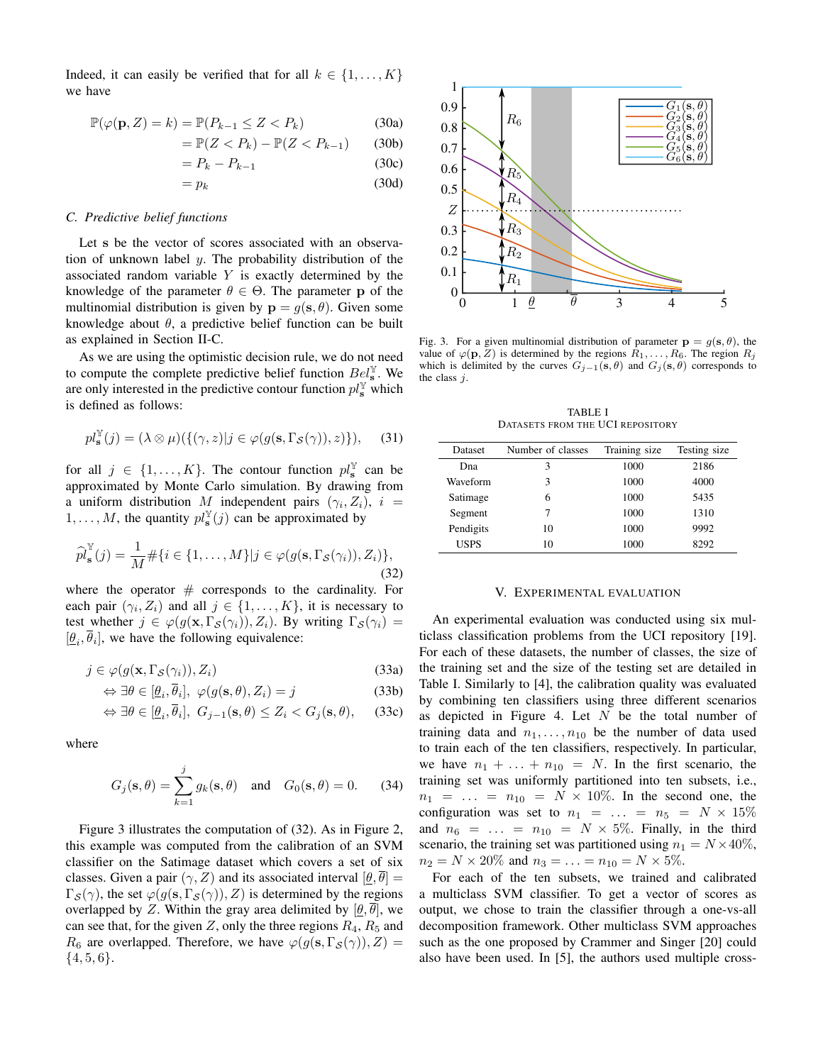Indeed, it can easily be verified that for all  $k \in \{1, \ldots, K\}$ we have

$$
\mathbb{P}(\varphi(\mathbf{p}, Z) = k) = \mathbb{P}(P_{k-1} \le Z < P_k) \tag{30a}
$$

$$
= \mathbb{P}(Z < P_k) - \mathbb{P}(Z < P_{k-1}) \tag{30b}
$$

$$
= P_k - P_{k-1} \tag{30c}
$$

$$
= p_k \tag{30d}
$$

## *C. Predictive belief functions*

Let s be the vector of scores associated with an observation of unknown label  $y$ . The probability distribution of the associated random variable  $Y$  is exactly determined by the knowledge of the parameter  $\theta \in \Theta$ . The parameter p of the multinomial distribution is given by  $\mathbf{p} = g(\mathbf{s}, \theta)$ . Given some knowledge about  $\theta$ , a predictive belief function can be built as explained in Section II-C.

As we are using the optimistic decision rule, we do not need to compute the complete predictive belief function  $Bel_s^{\mathbb{Y}}$ . We are only interested in the predictive contour function  $pl_s^{\mathbb{Y}}$  which is defined as follows:

$$
pl_s^{\mathbb{Y}}(j) = (\lambda \otimes \mu)(\{(\gamma, z)|j \in \varphi(g(\mathbf{s}, \Gamma_{\mathcal{S}}(\gamma)), z)\}), \quad (31)
$$

for all  $j \in \{1, ..., K\}$ . The contour function  $pl_s^{\mathbb{Y}}$  can be approximated by Monte Carlo simulation. By drawing from a uniform distribution M independent pairs  $(\gamma_i, Z_i)$ ,  $i =$  $1, \ldots, M$ , the quantity  $pl_s^{\mathbb{Y}}(j)$  can be approximated by

$$
\widehat{pl}_{\mathbf{s}}^{\mathbb{Y}}(j) = \frac{1}{M} \# \{ i \in \{1, \dots, M\} | j \in \varphi(g(\mathbf{s}, \Gamma_{\mathcal{S}}(\gamma_i)), Z_i) \},\tag{32}
$$

where the operator  $#$  corresponds to the cardinality. For each pair  $(\gamma_i, Z_i)$  and all  $j \in \{1, ..., K\}$ , it is necessary to test whether  $j \in \varphi(g(\mathbf{x}, \Gamma_{\mathcal{S}}(\gamma_i)), Z_i)$ . By writing  $\Gamma_{\mathcal{S}}(\gamma_i) =$  $[\underline{\theta}_i, \overline{\theta}_i]$ , we have the following equivalence:

$$
j \in \varphi(g(\mathbf{x}, \Gamma_{\mathcal{S}}(\gamma_i)), Z_i)
$$
 (33a)

$$
\Leftrightarrow \exists \theta \in [\underline{\theta}_i, \overline{\theta}_i], \ \varphi(g(\mathbf{s}, \theta), Z_i) = j \tag{33b}
$$

$$
\Leftrightarrow \exists \theta \in [\underline{\theta}_i, \overline{\theta}_i], \ G_{j-1}(\mathbf{s}, \theta) \le Z_i < G_j(\mathbf{s}, \theta), \tag{33c}
$$

where

$$
G_j(\mathbf{s}, \theta) = \sum_{k=1}^j g_k(\mathbf{s}, \theta) \quad \text{and} \quad G_0(\mathbf{s}, \theta) = 0. \tag{34}
$$

Figure 3 illustrates the computation of (32). As in Figure 2, this example was computed from the calibration of an SVM classifier on the Satimage dataset which covers a set of six classes. Given a pair  $(\gamma, Z)$  and its associated interval  $[\underline{\theta}, \overline{\theta}] =$  $\Gamma_{\mathcal{S}}(\gamma)$ , the set  $\varphi(g(\mathbf{s}, \Gamma_{\mathcal{S}}(\gamma)), Z)$  is determined by the regions overlapped by Z. Within the gray area delimited by  $[\theta, \overline{\theta}]$ , we can see that, for the given Z, only the three regions  $R_4$ ,  $R_5$  and  $R_6$  are overlapped. Therefore, we have  $\varphi(g(\mathbf{s}, \Gamma_{\mathcal{S}}(\gamma)), Z) =$  $\{4, 5, 6\}.$ 



Fig. 3. For a given multinomial distribution of parameter  $\mathbf{p} = g(\mathbf{s}, \theta)$ , the value of  $\varphi(\mathbf{p}, Z)$  is determined by the regions  $R_1, \ldots, R_6$ . The region  $R_j$ which is delimited by the curves  $G_{j-1}(\mathbf{s}, \theta)$  and  $G_j(\mathbf{s}, \theta)$  corresponds to the class  $j$ .

TABLE I DATASETS FROM THE UCI REPOSITORY

| Dataset     | Number of classes | Training size | Testing size |
|-------------|-------------------|---------------|--------------|
| Dna         | 3                 | 1000          | 2186         |
| Waveform    | 3                 | 1000          | 4000         |
| Satimage    | 6                 | 1000          | 5435         |
| Segment     |                   | 1000          | 1310         |
| Pendigits   | 10                | 1000          | 9992         |
| <b>USPS</b> | 10                | 1000          | 8292         |

# V. EXPERIMENTAL EVALUATION

An experimental evaluation was conducted using six multiclass classification problems from the UCI repository [19]. For each of these datasets, the number of classes, the size of the training set and the size of the testing set are detailed in Table I. Similarly to [4], the calibration quality was evaluated by combining ten classifiers using three different scenarios as depicted in Figure 4. Let  $N$  be the total number of training data and  $n_1, \ldots, n_{10}$  be the number of data used to train each of the ten classifiers, respectively. In particular, we have  $n_1 + \ldots + n_{10} = N$ . In the first scenario, the training set was uniformly partitioned into ten subsets, i.e.,  $n_1 = ... = n_{10} = N \times 10\%$ . In the second one, the configuration was set to  $n_1 = \ldots = n_5 = N \times 15\%$ and  $n_6 = \ldots = n_{10} = N \times 5\%$ . Finally, in the third scenario, the training set was partitioned using  $n_1 = N \times 40\%,$  $n_2 = N \times 20\%$  and  $n_3 = \ldots = n_{10} = N \times 5\%.$ 

For each of the ten subsets, we trained and calibrated a multiclass SVM classifier. To get a vector of scores as output, we chose to train the classifier through a one-vs-all decomposition framework. Other multiclass SVM approaches such as the one proposed by Crammer and Singer [20] could also have been used. In [5], the authors used multiple cross-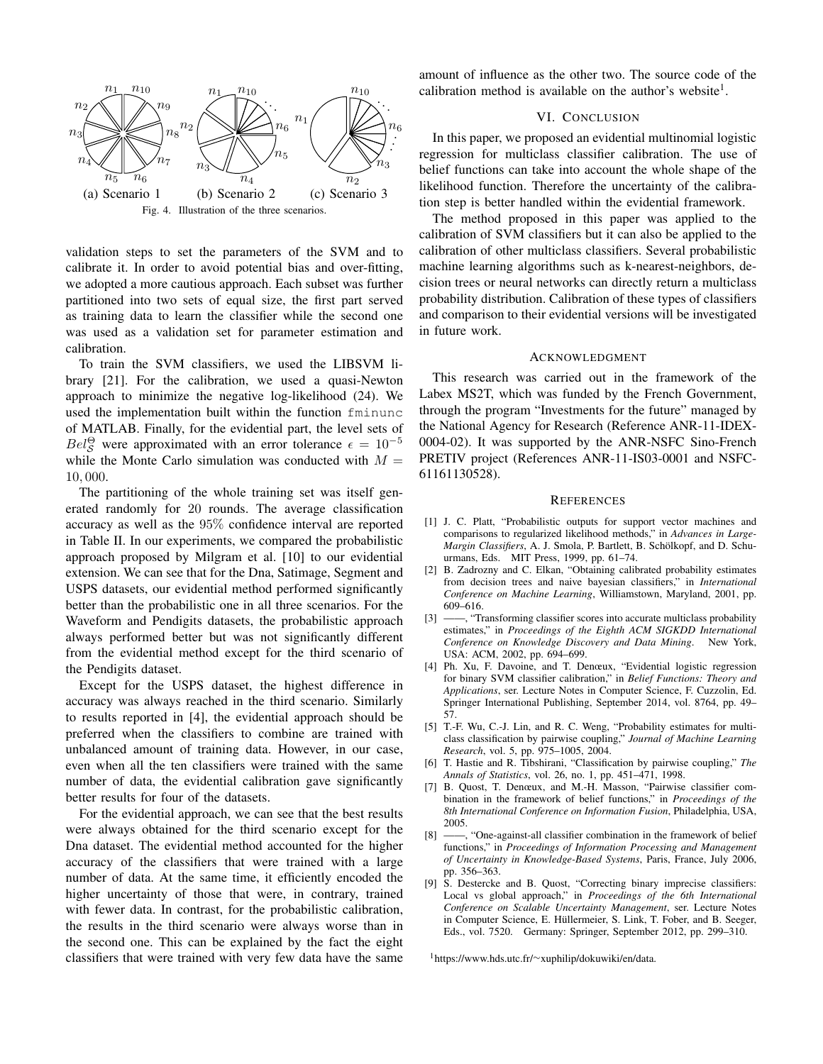

validation steps to set the parameters of the SVM and to calibrate it. In order to avoid potential bias and over-fitting, we adopted a more cautious approach. Each subset was further partitioned into two sets of equal size, the first part served as training data to learn the classifier while the second one was used as a validation set for parameter estimation and calibration.

To train the SVM classifiers, we used the LIBSVM library [21]. For the calibration, we used a quasi-Newton approach to minimize the negative log-likelihood (24). We used the implementation built within the function fminunc of MATLAB. Finally, for the evidential part, the level sets of  $Bel^{\Theta}_{\mathcal{S}}$  were approximated with an error tolerance  $\epsilon = 10^{-5}$ while the Monte Carlo simulation was conducted with  $M =$ 10, 000.

The partitioning of the whole training set was itself generated randomly for 20 rounds. The average classification accuracy as well as the 95% confidence interval are reported in Table II. In our experiments, we compared the probabilistic approach proposed by Milgram et al. [10] to our evidential extension. We can see that for the Dna, Satimage, Segment and USPS datasets, our evidential method performed significantly better than the probabilistic one in all three scenarios. For the Waveform and Pendigits datasets, the probabilistic approach always performed better but was not significantly different from the evidential method except for the third scenario of the Pendigits dataset.

Except for the USPS dataset, the highest difference in accuracy was always reached in the third scenario. Similarly to results reported in [4], the evidential approach should be preferred when the classifiers to combine are trained with unbalanced amount of training data. However, in our case, even when all the ten classifiers were trained with the same number of data, the evidential calibration gave significantly better results for four of the datasets.

For the evidential approach, we can see that the best results were always obtained for the third scenario except for the Dna dataset. The evidential method accounted for the higher accuracy of the classifiers that were trained with a large number of data. At the same time, it efficiently encoded the higher uncertainty of those that were, in contrary, trained with fewer data. In contrast, for the probabilistic calibration, the results in the third scenario were always worse than in the second one. This can be explained by the fact the eight classifiers that were trained with very few data have the same amount of influence as the other two. The source code of the calibration method is available on the author's website<sup>1</sup>.

## VI. CONCLUSION

In this paper, we proposed an evidential multinomial logistic regression for multiclass classifier calibration. The use of belief functions can take into account the whole shape of the likelihood function. Therefore the uncertainty of the calibration step is better handled within the evidential framework.

The method proposed in this paper was applied to the calibration of SVM classifiers but it can also be applied to the calibration of other multiclass classifiers. Several probabilistic machine learning algorithms such as k-nearest-neighbors, decision trees or neural networks can directly return a multiclass probability distribution. Calibration of these types of classifiers and comparison to their evidential versions will be investigated in future work.

## ACKNOWLEDGMENT

This research was carried out in the framework of the Labex MS2T, which was funded by the French Government, through the program "Investments for the future" managed by the National Agency for Research (Reference ANR-11-IDEX-0004-02). It was supported by the ANR-NSFC Sino-French PRETIV project (References ANR-11-IS03-0001 and NSFC-61161130528).

## **REFERENCES**

- [1] J. C. Platt, "Probabilistic outputs for support vector machines and comparisons to regularized likelihood methods," in *Advances in Large-Margin Classifiers*, A. J. Smola, P. Bartlett, B. Schölkopf, and D. Schuurmans, Eds. MIT Press, 1999, pp. 61–74.
- [2] B. Zadrozny and C. Elkan, "Obtaining calibrated probability estimates from decision trees and naive bayesian classifiers," in *International Conference on Machine Learning*, Williamstown, Maryland, 2001, pp. 609–616.
- [3] ——, "Transforming classifier scores into accurate multiclass probability estimates," in *Proceedings of the Eighth ACM SIGKDD International Conference on Knowledge Discovery and Data Mining*. New York, USA: ACM, 2002, pp. 694–699.
- [4] Ph. Xu, F. Davoine, and T. Denœux, "Evidential logistic regression for binary SVM classifier calibration," in *Belief Functions: Theory and Applications*, ser. Lecture Notes in Computer Science, F. Cuzzolin, Ed. Springer International Publishing, September 2014, vol. 8764, pp. 49– 57.
- [5] T.-F. Wu, C.-J. Lin, and R. C. Weng, "Probability estimates for multiclass classification by pairwise coupling," *Journal of Machine Learning Research*, vol. 5, pp. 975–1005, 2004.
- [6] T. Hastie and R. Tibshirani, "Classification by pairwise coupling," *The Annals of Statistics*, vol. 26, no. 1, pp. 451–471, 1998.
- [7] B. Quost, T. Denœux, and M.-H. Masson, "Pairwise classifier combination in the framework of belief functions," in *Proceedings of the 8th International Conference on Information Fusion*, Philadelphia, USA, 2005.
- [8] ——, "One-against-all classifier combination in the framework of belief functions," in *Proceedings of Information Processing and Management of Uncertainty in Knowledge-Based Systems*, Paris, France, July 2006, pp. 356–363.
- [9] S. Destercke and B. Quost, "Correcting binary imprecise classifiers: Local vs global approach," in *Proceedings of the 6th International Conference on Scalable Uncertainty Management*, ser. Lecture Notes in Computer Science, E. Hüllermeier, S. Link, T. Fober, and B. Seeger, Eds., vol. 7520. Germany: Springer, September 2012, pp. 299–310.

<sup>1</sup>https://www.hds.utc.fr/∼xuphilip/dokuwiki/en/data.